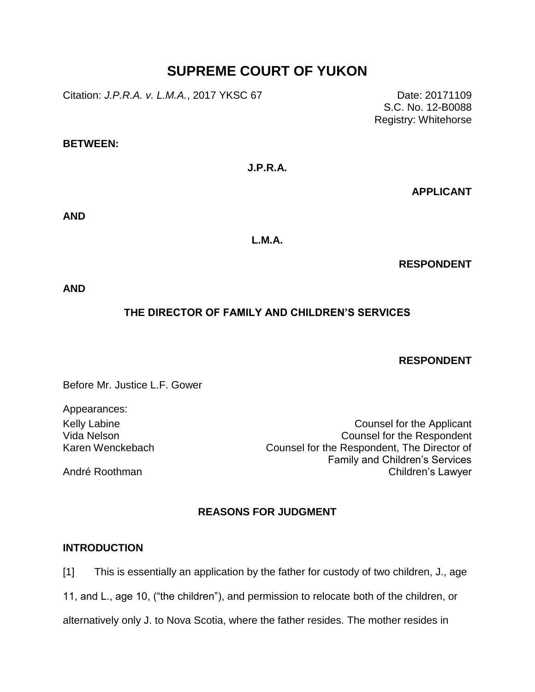# **SUPREME COURT OF YUKON**

Citation: *J.P.R.A. v. L.M.A.*, 2017 YKSC 67 Date: 20171109

S.C. No. 12-B0088 Registry: Whitehorse

#### **BETWEEN:**

**J.P.R.A.**

**APPLICANT**

**AND**

**L.M.A.**

**RESPONDENT**

**AND**

# **THE DIRECTOR OF FAMILY AND CHILDREN'S SERVICES**

## **RESPONDENT**

Before Mr. Justice L.F. Gower

Appearances: Vida Nelson Karen Wenckebach

André Roothman

Kelly Labine **Counsel for the Applicant** Counsel for the Respondent Counsel for the Respondent, The Director of Family and Children's Services Children's Lawyer

# **REASONS FOR JUDGMENT**

## **INTRODUCTION**

[1] This is essentially an application by the father for custody of two children, J., age

11, and L., age 10, ("the children"), and permission to relocate both of the children, or

alternatively only J. to Nova Scotia, where the father resides. The mother resides in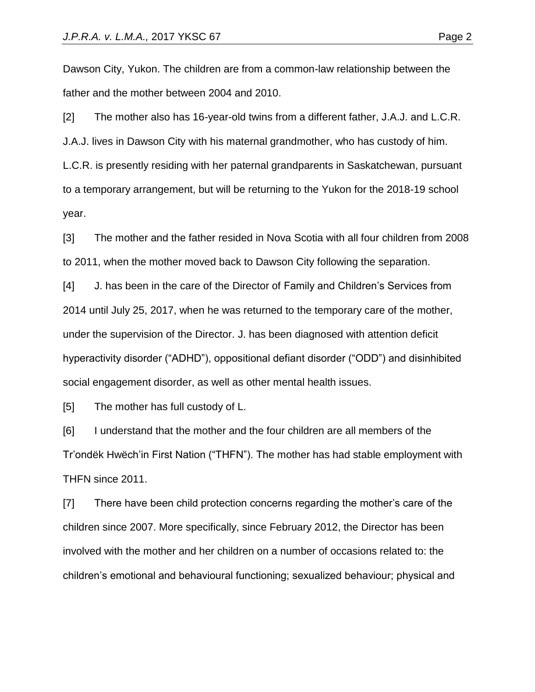Dawson City, Yukon. The children are from a common-law relationship between the father and the mother between 2004 and 2010.

[2] The mother also has 16-year-old twins from a different father, J.A.J. and L.C.R. J.A.J. lives in Dawson City with his maternal grandmother, who has custody of him. L.C.R. is presently residing with her paternal grandparents in Saskatchewan, pursuant to a temporary arrangement, but will be returning to the Yukon for the 2018-19 school year.

[3] The mother and the father resided in Nova Scotia with all four children from 2008 to 2011, when the mother moved back to Dawson City following the separation.

[4] J. has been in the care of the Director of Family and Children's Services from 2014 until July 25, 2017, when he was returned to the temporary care of the mother, under the supervision of the Director. J. has been diagnosed with attention deficit hyperactivity disorder ("ADHD"), oppositional defiant disorder ("ODD") and disinhibited social engagement disorder, as well as other mental health issues.

[5] The mother has full custody of L.

[6] I understand that the mother and the four children are all members of the Tr'ondëk Hwëch'in First Nation ("THFN"). The mother has had stable employment with THFN since 2011.

[7] There have been child protection concerns regarding the mother's care of the children since 2007. More specifically, since February 2012, the Director has been involved with the mother and her children on a number of occasions related to: the children's emotional and behavioural functioning; sexualized behaviour; physical and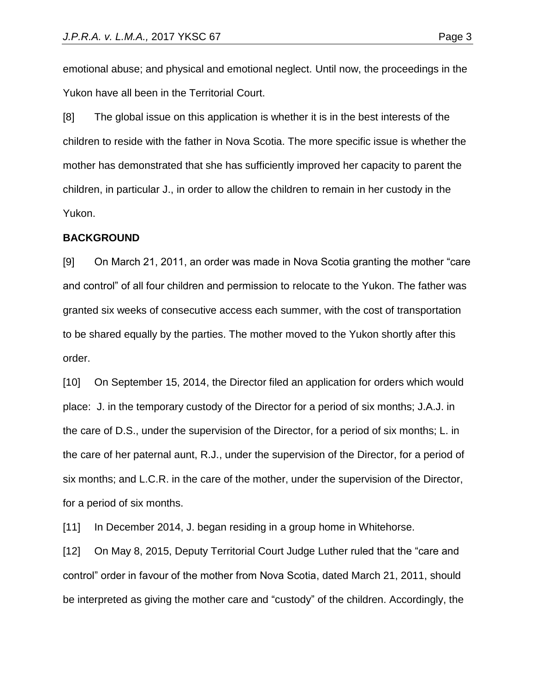emotional abuse; and physical and emotional neglect. Until now, the proceedings in the Yukon have all been in the Territorial Court.

[8] The global issue on this application is whether it is in the best interests of the children to reside with the father in Nova Scotia. The more specific issue is whether the mother has demonstrated that she has sufficiently improved her capacity to parent the children, in particular J., in order to allow the children to remain in her custody in the Yukon.

#### **BACKGROUND**

[9] On March 21, 2011, an order was made in Nova Scotia granting the mother "care and control" of all four children and permission to relocate to the Yukon. The father was granted six weeks of consecutive access each summer, with the cost of transportation to be shared equally by the parties. The mother moved to the Yukon shortly after this order.

[10] On September 15, 2014, the Director filed an application for orders which would place: J. in the temporary custody of the Director for a period of six months; J.A.J. in the care of D.S., under the supervision of the Director, for a period of six months; L. in the care of her paternal aunt, R.J., under the supervision of the Director, for a period of six months; and L.C.R. in the care of the mother, under the supervision of the Director, for a period of six months.

[11] In December 2014, J. began residing in a group home in Whitehorse.

[12] On May 8, 2015, Deputy Territorial Court Judge Luther ruled that the "care and control" order in favour of the mother from Nova Scotia, dated March 21, 2011, should be interpreted as giving the mother care and "custody" of the children. Accordingly, the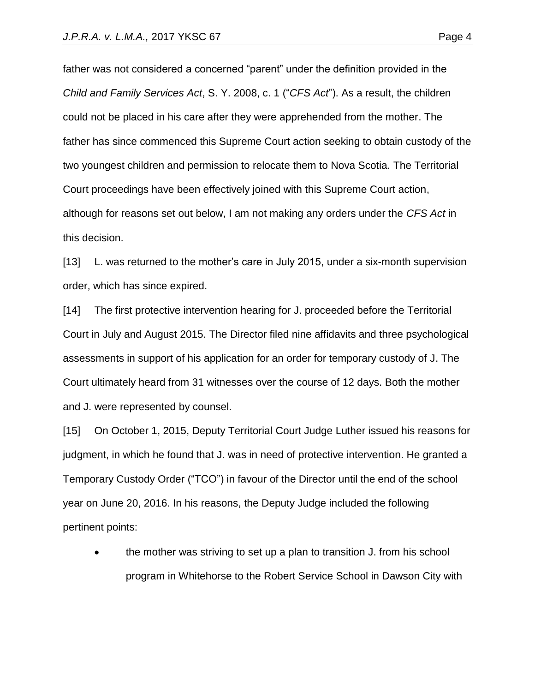father was not considered a concerned "parent" under the definition provided in the *Child and Family Services Act*, S. Y. 2008, c. 1 ("*CFS Act*"). As a result, the children could not be placed in his care after they were apprehended from the mother. The father has since commenced this Supreme Court action seeking to obtain custody of the two youngest children and permission to relocate them to Nova Scotia. The Territorial Court proceedings have been effectively joined with this Supreme Court action, although for reasons set out below, I am not making any orders under the *CFS Act* in this decision.

[13] L. was returned to the mother's care in July 2015, under a six-month supervision order, which has since expired.

[14] The first protective intervention hearing for J. proceeded before the Territorial Court in July and August 2015. The Director filed nine affidavits and three psychological assessments in support of his application for an order for temporary custody of J. The Court ultimately heard from 31 witnesses over the course of 12 days. Both the mother and J. were represented by counsel.

[15] On October 1, 2015, Deputy Territorial Court Judge Luther issued his reasons for judgment, in which he found that J. was in need of protective intervention. He granted a Temporary Custody Order ("TCO") in favour of the Director until the end of the school year on June 20, 2016. In his reasons, the Deputy Judge included the following pertinent points:

 the mother was striving to set up a plan to transition J. from his school program in Whitehorse to the Robert Service School in Dawson City with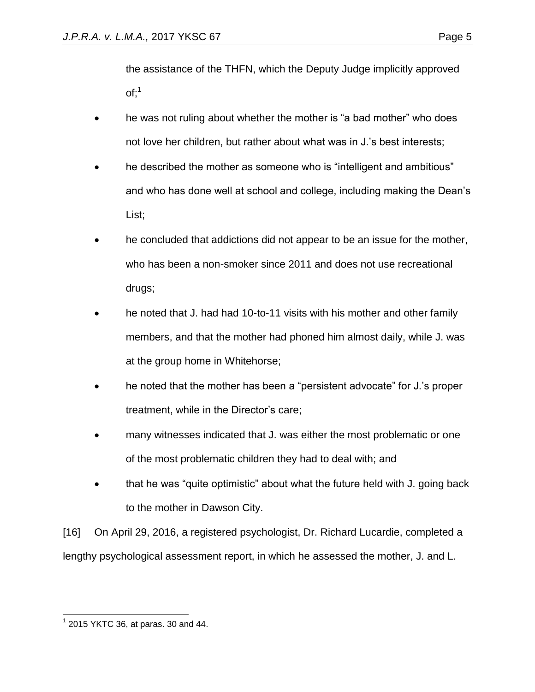the assistance of the THFN, which the Deputy Judge implicitly approved  $of:<sup>1</sup>$ 

- he was not ruling about whether the mother is "a bad mother" who does not love her children, but rather about what was in J.'s best interests;
- he described the mother as someone who is "intelligent and ambitious" and who has done well at school and college, including making the Dean's List;
- he concluded that addictions did not appear to be an issue for the mother, who has been a non-smoker since 2011 and does not use recreational drugs;
- he noted that J. had had 10-to-11 visits with his mother and other family members, and that the mother had phoned him almost daily, while J. was at the group home in Whitehorse;
- he noted that the mother has been a "persistent advocate" for J.'s proper treatment, while in the Director's care;
- many witnesses indicated that J. was either the most problematic or one of the most problematic children they had to deal with; and
- that he was "quite optimistic" about what the future held with J. going back to the mother in Dawson City.

[16] On April 29, 2016, a registered psychologist, Dr. Richard Lucardie, completed a lengthy psychological assessment report, in which he assessed the mother, J. and L.

 $\overline{a}$  $1$  2015 YKTC 36, at paras. 30 and 44.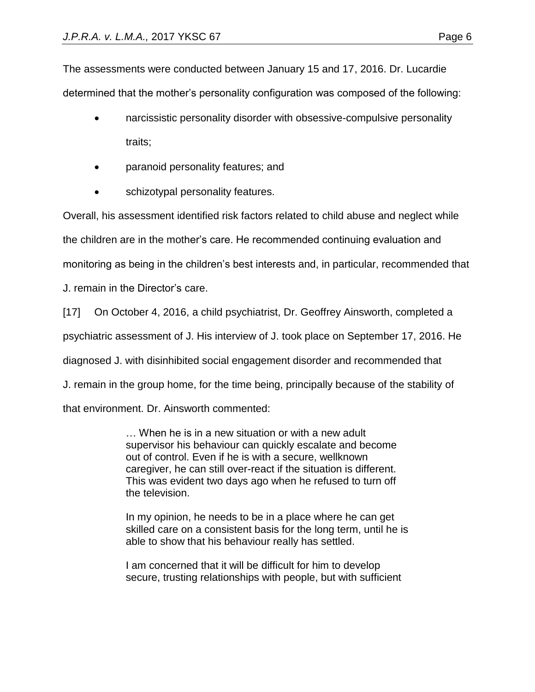The assessments were conducted between January 15 and 17, 2016. Dr. Lucardie determined that the mother's personality configuration was composed of the following:

- narcissistic personality disorder with obsessive-compulsive personality traits;
- paranoid personality features; and
- schizotypal personality features.

Overall, his assessment identified risk factors related to child abuse and neglect while

the children are in the mother's care. He recommended continuing evaluation and

monitoring as being in the children's best interests and, in particular, recommended that

J. remain in the Director's care.

[17] On October 4, 2016, a child psychiatrist, Dr. Geoffrey Ainsworth, completed a

psychiatric assessment of J. His interview of J. took place on September 17, 2016. He

diagnosed J. with disinhibited social engagement disorder and recommended that

J. remain in the group home, for the time being, principally because of the stability of

that environment. Dr. Ainsworth commented:

… When he is in a new situation or with a new adult supervisor his behaviour can quickly escalate and become out of control. Even if he is with a secure, wellknown caregiver, he can still over-react if the situation is different. This was evident two days ago when he refused to turn off the television.

In my opinion, he needs to be in a place where he can get skilled care on a consistent basis for the long term, until he is able to show that his behaviour really has settled.

I am concerned that it will be difficult for him to develop secure, trusting relationships with people, but with sufficient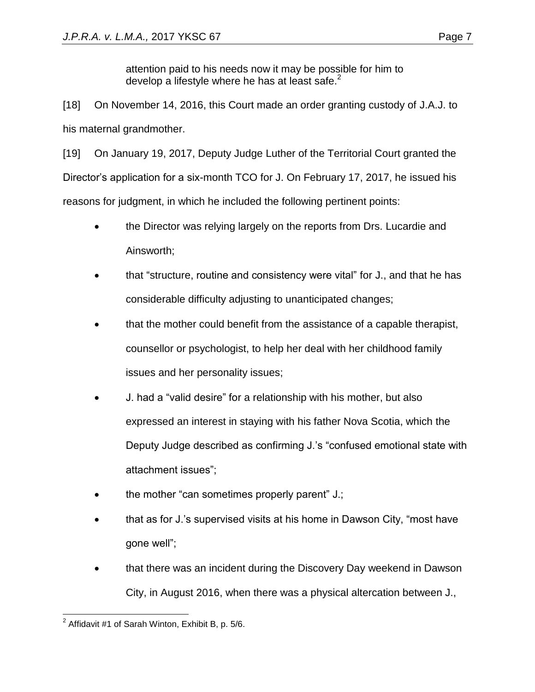attention paid to his needs now it may be possible for him to develop a lifestyle where he has at least safe. $<sup>2</sup>$ </sup>

[18] On November 14, 2016, this Court made an order granting custody of J.A.J. to his maternal grandmother.

[19] On January 19, 2017, Deputy Judge Luther of the Territorial Court granted the Director's application for a six-month TCO for J. On February 17, 2017, he issued his reasons for judgment, in which he included the following pertinent points:

- the Director was relying largely on the reports from Drs. Lucardie and Ainsworth;
- that "structure, routine and consistency were vital" for J., and that he has considerable difficulty adjusting to unanticipated changes;
- that the mother could benefit from the assistance of a capable therapist, counsellor or psychologist, to help her deal with her childhood family issues and her personality issues;
- J. had a "valid desire" for a relationship with his mother, but also expressed an interest in staying with his father Nova Scotia, which the Deputy Judge described as confirming J.'s "confused emotional state with attachment issues";
- the mother "can sometimes properly parent" J.;
- that as for J.'s supervised visits at his home in Dawson City, "most have gone well";
- that there was an incident during the Discovery Day weekend in Dawson City, in August 2016, when there was a physical altercation between J.,

 2 Affidavit #1 of Sarah Winton, Exhibit B, p. 5/6.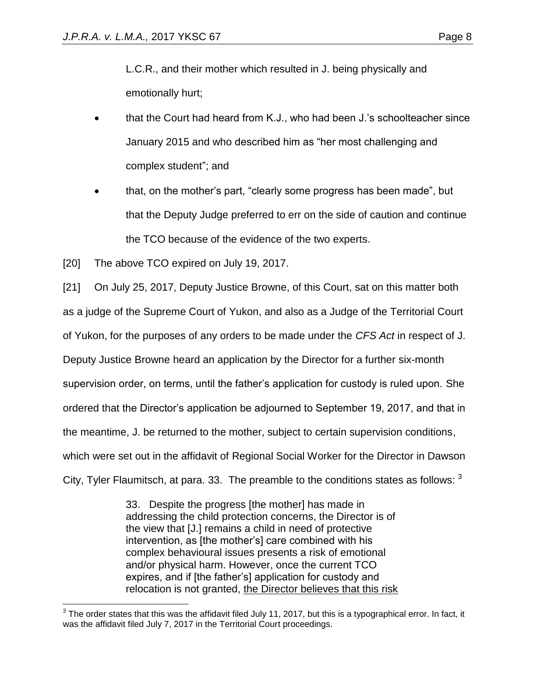L.C.R., and their mother which resulted in J. being physically and emotionally hurt;

- that the Court had heard from K.J., who had been J.'s schoolteacher since January 2015 and who described him as "her most challenging and complex student"; and
- that, on the mother's part, "clearly some progress has been made", but that the Deputy Judge preferred to err on the side of caution and continue the TCO because of the evidence of the two experts.

[20] The above TCO expired on July 19, 2017.

[21] On July 25, 2017, Deputy Justice Browne, of this Court, sat on this matter both as a judge of the Supreme Court of Yukon, and also as a Judge of the Territorial Court of Yukon, for the purposes of any orders to be made under the *CFS Act* in respect of J. Deputy Justice Browne heard an application by the Director for a further six-month supervision order, on terms, until the father's application for custody is ruled upon. She ordered that the Director's application be adjourned to September 19, 2017, and that in the meantime, J. be returned to the mother, subject to certain supervision conditions, which were set out in the affidavit of Regional Social Worker for the Director in Dawson City, Tyler Flaumitsch, at para. 33. The preamble to the conditions states as follows:  $3$ 

> 33. Despite the progress [the mother] has made in addressing the child protection concerns, the Director is of the view that [J.] remains a child in need of protective intervention, as [the mother's] care combined with his complex behavioural issues presents a risk of emotional and/or physical harm. However, once the current TCO expires, and if [the father's] application for custody and relocation is not granted, the Director believes that this risk

 3 The order states that this was the affidavit filed July 11, 2017, but this is a typographical error. In fact, it was the affidavit filed July 7, 2017 in the Territorial Court proceedings.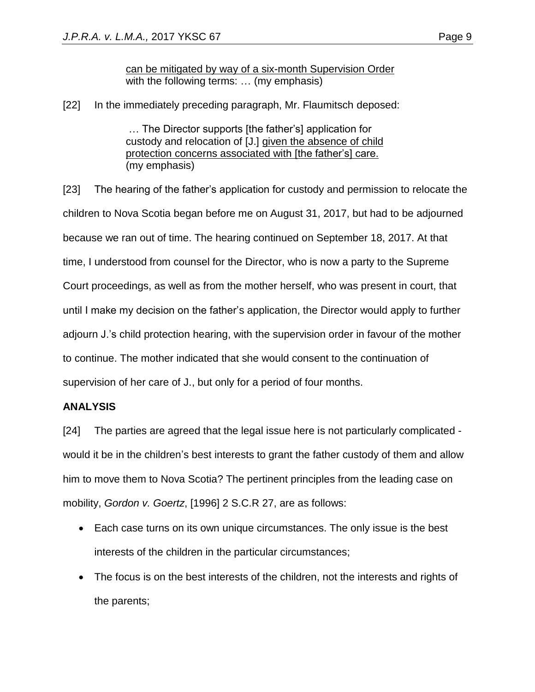can be mitigated by way of a six-month Supervision Order with the following terms: … (my emphasis)

[22] In the immediately preceding paragraph, Mr. Flaumitsch deposed:

… The Director supports [the father's] application for custody and relocation of [J.] given the absence of child protection concerns associated with [the father's] care. (my emphasis)

[23] The hearing of the father's application for custody and permission to relocate the children to Nova Scotia began before me on August 31, 2017, but had to be adjourned because we ran out of time. The hearing continued on September 18, 2017. At that time, I understood from counsel for the Director, who is now a party to the Supreme Court proceedings, as well as from the mother herself, who was present in court, that until I make my decision on the father's application, the Director would apply to further adjourn J.'s child protection hearing, with the supervision order in favour of the mother to continue. The mother indicated that she would consent to the continuation of supervision of her care of J., but only for a period of four months.

#### **ANALYSIS**

[24] The parties are agreed that the legal issue here is not particularly complicated would it be in the children's best interests to grant the father custody of them and allow him to move them to Nova Scotia? The pertinent principles from the leading case on mobility, *Gordon v. Goertz*, [1996] 2 S.C.R 27, are as follows:

- Each case turns on its own unique circumstances. The only issue is the best interests of the children in the particular circumstances;
- The focus is on the best interests of the children, not the interests and rights of the parents;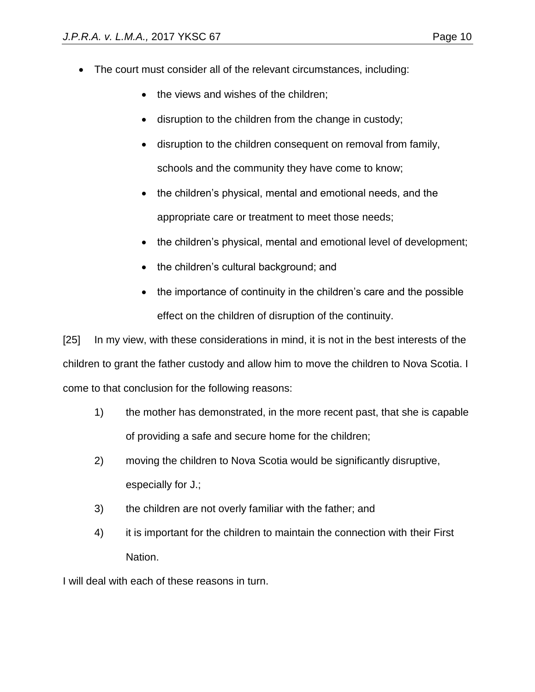- The court must consider all of the relevant circumstances, including:
	- the views and wishes of the children;
	- disruption to the children from the change in custody;
	- disruption to the children consequent on removal from family, schools and the community they have come to know;
	- the children's physical, mental and emotional needs, and the appropriate care or treatment to meet those needs;
	- the children's physical, mental and emotional level of development;
	- the children's cultural background; and
	- the importance of continuity in the children's care and the possible effect on the children of disruption of the continuity.

[25] In my view, with these considerations in mind, it is not in the best interests of the children to grant the father custody and allow him to move the children to Nova Scotia. I come to that conclusion for the following reasons:

- 1) the mother has demonstrated, in the more recent past, that she is capable of providing a safe and secure home for the children;
- 2) moving the children to Nova Scotia would be significantly disruptive, especially for J.;
- 3) the children are not overly familiar with the father; and
- 4) it is important for the children to maintain the connection with their First Nation.

I will deal with each of these reasons in turn.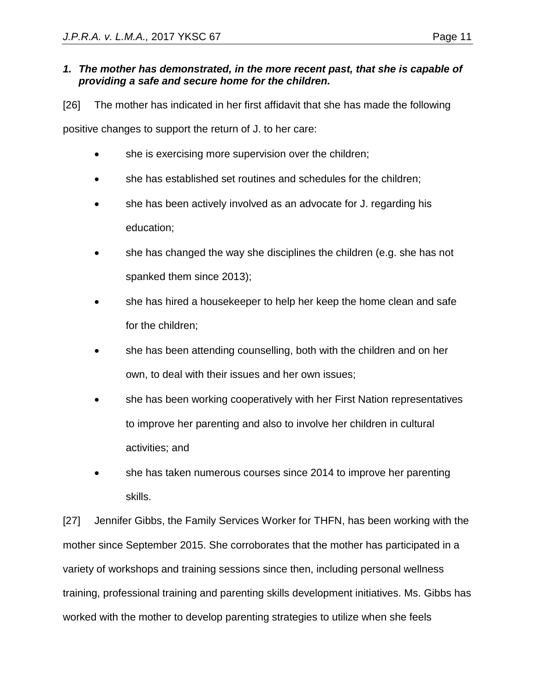#### *1. The mother has demonstrated, in the more recent past, that she is capable of providing a safe and secure home for the children.*

[26] The mother has indicated in her first affidavit that she has made the following positive changes to support the return of J. to her care:

- she is exercising more supervision over the children;
- she has established set routines and schedules for the children;
- she has been actively involved as an advocate for J. regarding his education;
- she has changed the way she disciplines the children (e.g. she has not spanked them since 2013);
- she has hired a housekeeper to help her keep the home clean and safe for the children;
- she has been attending counselling, both with the children and on her own, to deal with their issues and her own issues;
- she has been working cooperatively with her First Nation representatives to improve her parenting and also to involve her children in cultural activities; and
- she has taken numerous courses since 2014 to improve her parenting skills.

[27] Jennifer Gibbs, the Family Services Worker for THFN, has been working with the mother since September 2015. She corroborates that the mother has participated in a variety of workshops and training sessions since then, including personal wellness training, professional training and parenting skills development initiatives. Ms. Gibbs has worked with the mother to develop parenting strategies to utilize when she feels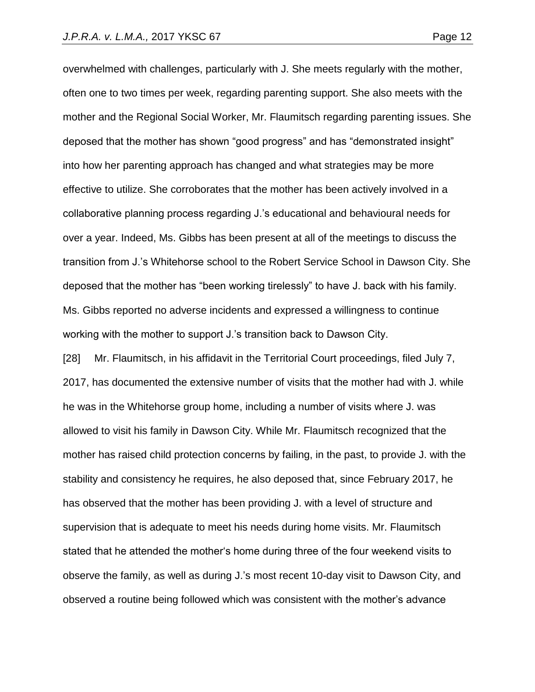overwhelmed with challenges, particularly with J. She meets regularly with the mother, often one to two times per week, regarding parenting support. She also meets with the mother and the Regional Social Worker, Mr. Flaumitsch regarding parenting issues. She deposed that the mother has shown "good progress" and has "demonstrated insight" into how her parenting approach has changed and what strategies may be more effective to utilize. She corroborates that the mother has been actively involved in a collaborative planning process regarding J.'s educational and behavioural needs for over a year. Indeed, Ms. Gibbs has been present at all of the meetings to discuss the transition from J.'s Whitehorse school to the Robert Service School in Dawson City. She deposed that the mother has "been working tirelessly" to have J. back with his family. Ms. Gibbs reported no adverse incidents and expressed a willingness to continue working with the mother to support J.'s transition back to Dawson City.

[28] Mr. Flaumitsch, in his affidavit in the Territorial Court proceedings, filed July 7, 2017, has documented the extensive number of visits that the mother had with J. while he was in the Whitehorse group home, including a number of visits where J. was allowed to visit his family in Dawson City. While Mr. Flaumitsch recognized that the mother has raised child protection concerns by failing, in the past, to provide J. with the stability and consistency he requires, he also deposed that, since February 2017, he has observed that the mother has been providing J. with a level of structure and supervision that is adequate to meet his needs during home visits. Mr. Flaumitsch stated that he attended the mother's home during three of the four weekend visits to observe the family, as well as during J.'s most recent 10-day visit to Dawson City, and observed a routine being followed which was consistent with the mother's advance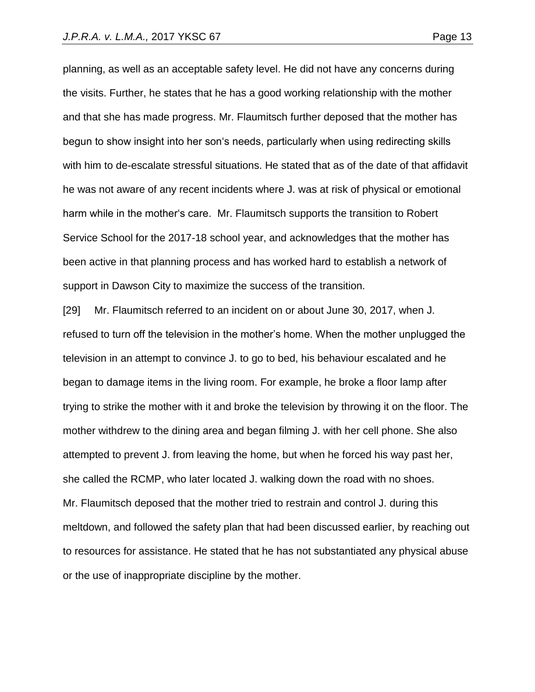planning, as well as an acceptable safety level. He did not have any concerns during

the visits. Further, he states that he has a good working relationship with the mother and that she has made progress. Mr. Flaumitsch further deposed that the mother has begun to show insight into her son's needs, particularly when using redirecting skills with him to de-escalate stressful situations. He stated that as of the date of that affidavit he was not aware of any recent incidents where J. was at risk of physical or emotional harm while in the mother's care. Mr. Flaumitsch supports the transition to Robert Service School for the 2017-18 school year, and acknowledges that the mother has been active in that planning process and has worked hard to establish a network of support in Dawson City to maximize the success of the transition.

[29] Mr. Flaumitsch referred to an incident on or about June 30, 2017, when J. refused to turn off the television in the mother's home. When the mother unplugged the television in an attempt to convince J. to go to bed, his behaviour escalated and he began to damage items in the living room. For example, he broke a floor lamp after trying to strike the mother with it and broke the television by throwing it on the floor. The mother withdrew to the dining area and began filming J. with her cell phone. She also attempted to prevent J. from leaving the home, but when he forced his way past her, she called the RCMP, who later located J. walking down the road with no shoes. Mr. Flaumitsch deposed that the mother tried to restrain and control J. during this meltdown, and followed the safety plan that had been discussed earlier, by reaching out to resources for assistance. He stated that he has not substantiated any physical abuse or the use of inappropriate discipline by the mother.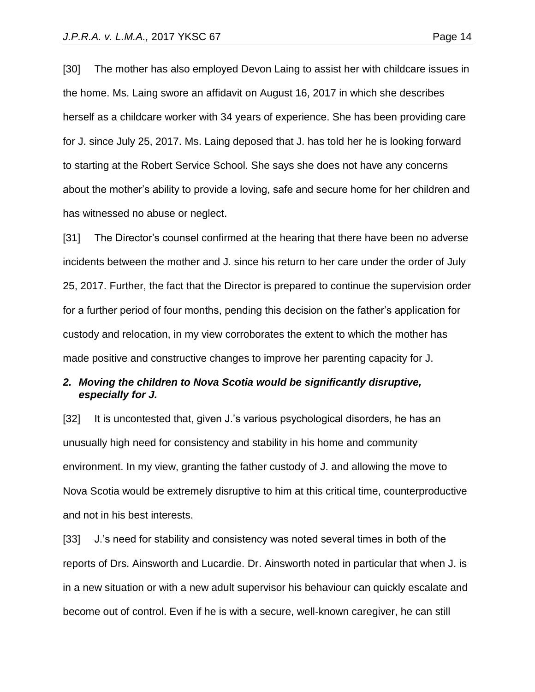[30] The mother has also employed Devon Laing to assist her with childcare issues in the home. Ms. Laing swore an affidavit on August 16, 2017 in which she describes herself as a childcare worker with 34 years of experience. She has been providing care for J. since July 25, 2017. Ms. Laing deposed that J. has told her he is looking forward to starting at the Robert Service School. She says she does not have any concerns about the mother's ability to provide a loving, safe and secure home for her children and

has witnessed no abuse or neglect.

[31] The Director's counsel confirmed at the hearing that there have been no adverse incidents between the mother and J. since his return to her care under the order of July 25, 2017. Further, the fact that the Director is prepared to continue the supervision order for a further period of four months, pending this decision on the father's application for custody and relocation, in my view corroborates the extent to which the mother has made positive and constructive changes to improve her parenting capacity for J.

#### *2. Moving the children to Nova Scotia would be significantly disruptive, especially for J.*

[32] It is uncontested that, given J.'s various psychological disorders, he has an unusually high need for consistency and stability in his home and community environment. In my view, granting the father custody of J. and allowing the move to Nova Scotia would be extremely disruptive to him at this critical time, counterproductive and not in his best interests.

[33] J.'s need for stability and consistency was noted several times in both of the reports of Drs. Ainsworth and Lucardie. Dr. Ainsworth noted in particular that when J. is in a new situation or with a new adult supervisor his behaviour can quickly escalate and become out of control. Even if he is with a secure, well-known caregiver, he can still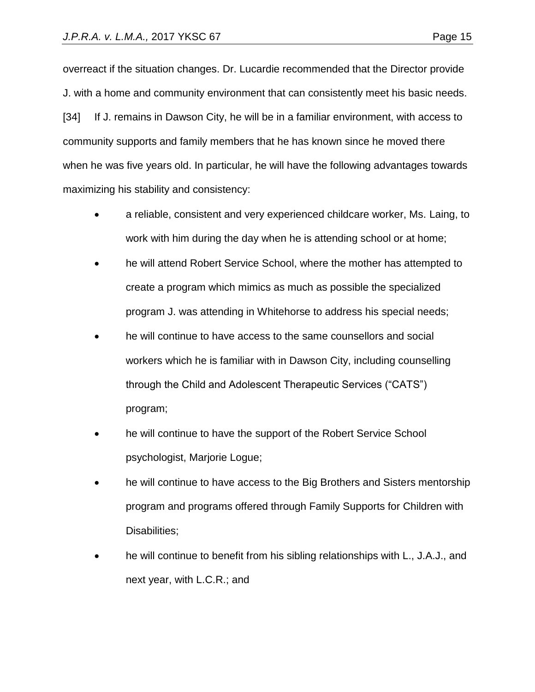overreact if the situation changes. Dr. Lucardie recommended that the Director provide J. with a home and community environment that can consistently meet his basic needs. [34] If J. remains in Dawson City, he will be in a familiar environment, with access to community supports and family members that he has known since he moved there when he was five years old. In particular, he will have the following advantages towards maximizing his stability and consistency:

- a reliable, consistent and very experienced childcare worker, Ms. Laing, to work with him during the day when he is attending school or at home;
- he will attend Robert Service School, where the mother has attempted to create a program which mimics as much as possible the specialized program J. was attending in Whitehorse to address his special needs;
- he will continue to have access to the same counsellors and social workers which he is familiar with in Dawson City, including counselling through the Child and Adolescent Therapeutic Services ("CATS") program;
- he will continue to have the support of the Robert Service School psychologist, Marjorie Logue;
- he will continue to have access to the Big Brothers and Sisters mentorship program and programs offered through Family Supports for Children with Disabilities;
- he will continue to benefit from his sibling relationships with L., J.A.J., and next year, with L.C.R.; and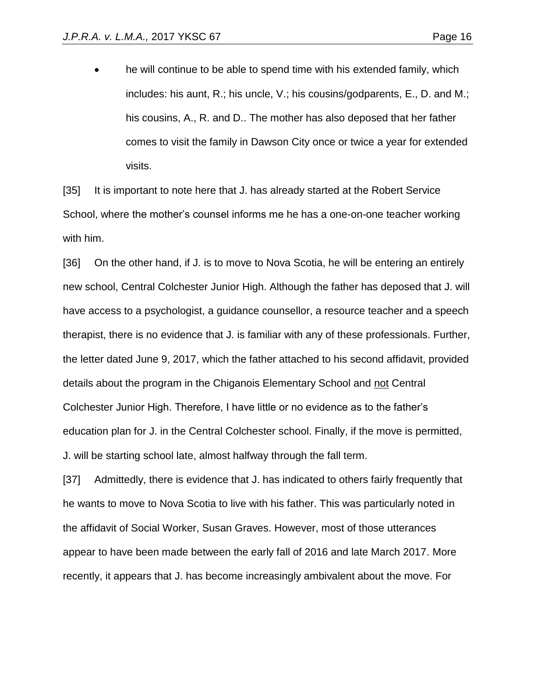• he will continue to be able to spend time with his extended family, which includes: his aunt, R.; his uncle, V.; his cousins/godparents, E., D. and M.; his cousins, A., R. and D.. The mother has also deposed that her father comes to visit the family in Dawson City once or twice a year for extended visits.

[35] It is important to note here that J. has already started at the Robert Service School, where the mother's counsel informs me he has a one-on-one teacher working with him.

[36] On the other hand, if J. is to move to Nova Scotia, he will be entering an entirely new school, Central Colchester Junior High. Although the father has deposed that J. will have access to a psychologist, a guidance counsellor, a resource teacher and a speech therapist, there is no evidence that J. is familiar with any of these professionals. Further, the letter dated June 9, 2017, which the father attached to his second affidavit, provided details about the program in the Chiganois Elementary School and not Central Colchester Junior High. Therefore, I have little or no evidence as to the father's education plan for J. in the Central Colchester school. Finally, if the move is permitted, J. will be starting school late, almost halfway through the fall term.

[37] Admittedly, there is evidence that J. has indicated to others fairly frequently that he wants to move to Nova Scotia to live with his father. This was particularly noted in the affidavit of Social Worker, Susan Graves. However, most of those utterances appear to have been made between the early fall of 2016 and late March 2017. More recently, it appears that J. has become increasingly ambivalent about the move. For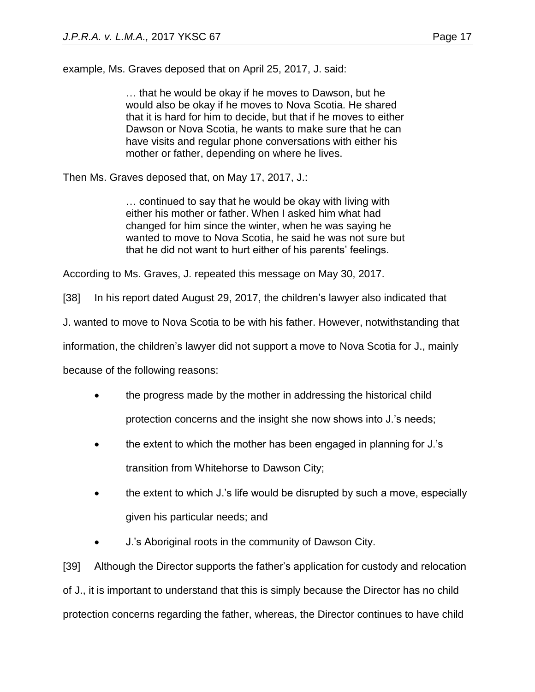… that he would be okay if he moves to Dawson, but he would also be okay if he moves to Nova Scotia. He shared that it is hard for him to decide, but that if he moves to either Dawson or Nova Scotia, he wants to make sure that he can have visits and regular phone conversations with either his mother or father, depending on where he lives.

Then Ms. Graves deposed that, on May 17, 2017, J.:

… continued to say that he would be okay with living with either his mother or father. When I asked him what had changed for him since the winter, when he was saying he wanted to move to Nova Scotia, he said he was not sure but that he did not want to hurt either of his parents' feelings.

According to Ms. Graves, J. repeated this message on May 30, 2017.

[38] In his report dated August 29, 2017, the children's lawyer also indicated that

J. wanted to move to Nova Scotia to be with his father. However, notwithstanding that

information, the children's lawyer did not support a move to Nova Scotia for J., mainly

because of the following reasons:

- the progress made by the mother in addressing the historical child protection concerns and the insight she now shows into J.'s needs;
- the extent to which the mother has been engaged in planning for J.'s transition from Whitehorse to Dawson City;
- the extent to which J.'s life would be disrupted by such a move, especially given his particular needs; and
- J.'s Aboriginal roots in the community of Dawson City.

[39] Although the Director supports the father's application for custody and relocation of J., it is important to understand that this is simply because the Director has no child protection concerns regarding the father, whereas, the Director continues to have child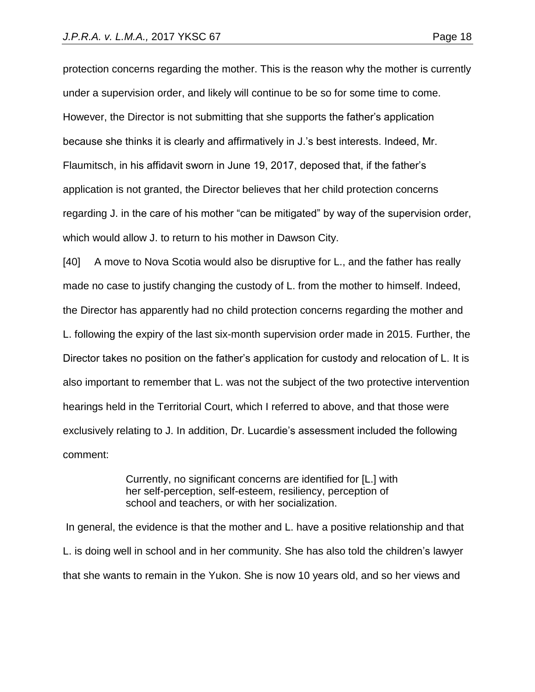protection concerns regarding the mother. This is the reason why the mother is currently under a supervision order, and likely will continue to be so for some time to come. However, the Director is not submitting that she supports the father's application because she thinks it is clearly and affirmatively in J.'s best interests. Indeed, Mr. Flaumitsch, in his affidavit sworn in June 19, 2017, deposed that, if the father's application is not granted, the Director believes that her child protection concerns regarding J. in the care of his mother "can be mitigated" by way of the supervision order, which would allow J. to return to his mother in Dawson City.

[40] A move to Nova Scotia would also be disruptive for L., and the father has really made no case to justify changing the custody of L. from the mother to himself. Indeed, the Director has apparently had no child protection concerns regarding the mother and L. following the expiry of the last six-month supervision order made in 2015. Further, the Director takes no position on the father's application for custody and relocation of L. It is also important to remember that L. was not the subject of the two protective intervention hearings held in the Territorial Court, which I referred to above, and that those were exclusively relating to J. In addition, Dr. Lucardie's assessment included the following comment:

> Currently, no significant concerns are identified for [L.] with her self-perception, self-esteem, resiliency, perception of school and teachers, or with her socialization.

In general, the evidence is that the mother and L. have a positive relationship and that L. is doing well in school and in her community. She has also told the children's lawyer that she wants to remain in the Yukon. She is now 10 years old, and so her views and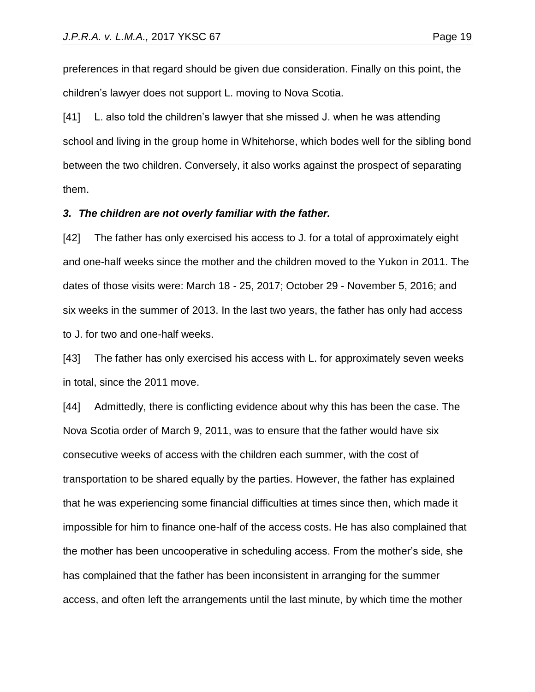preferences in that regard should be given due consideration. Finally on this point, the children's lawyer does not support L. moving to Nova Scotia.

[41] L. also told the children's lawyer that she missed J. when he was attending school and living in the group home in Whitehorse, which bodes well for the sibling bond between the two children. Conversely, it also works against the prospect of separating them.

#### *3. The children are not overly familiar with the father.*

[42] The father has only exercised his access to J. for a total of approximately eight and one-half weeks since the mother and the children moved to the Yukon in 2011. The dates of those visits were: March 18 - 25, 2017; October 29 - November 5, 2016; and six weeks in the summer of 2013. In the last two years, the father has only had access to J. for two and one-half weeks.

[43] The father has only exercised his access with L. for approximately seven weeks in total, since the 2011 move.

[44] Admittedly, there is conflicting evidence about why this has been the case. The Nova Scotia order of March 9, 2011, was to ensure that the father would have six consecutive weeks of access with the children each summer, with the cost of transportation to be shared equally by the parties. However, the father has explained that he was experiencing some financial difficulties at times since then, which made it impossible for him to finance one-half of the access costs. He has also complained that the mother has been uncooperative in scheduling access. From the mother's side, she has complained that the father has been inconsistent in arranging for the summer access, and often left the arrangements until the last minute, by which time the mother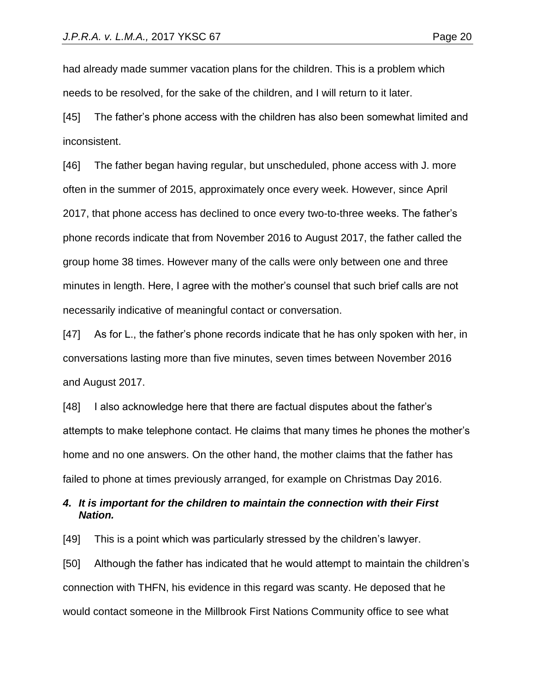had already made summer vacation plans for the children. This is a problem which needs to be resolved, for the sake of the children, and I will return to it later.

[45] The father's phone access with the children has also been somewhat limited and inconsistent.

[46] The father began having regular, but unscheduled, phone access with J. more often in the summer of 2015, approximately once every week. However, since April 2017, that phone access has declined to once every two-to-three weeks. The father's phone records indicate that from November 2016 to August 2017, the father called the group home 38 times. However many of the calls were only between one and three minutes in length. Here, I agree with the mother's counsel that such brief calls are not necessarily indicative of meaningful contact or conversation.

[47] As for L., the father's phone records indicate that he has only spoken with her, in conversations lasting more than five minutes, seven times between November 2016 and August 2017.

[48] I also acknowledge here that there are factual disputes about the father's attempts to make telephone contact. He claims that many times he phones the mother's home and no one answers. On the other hand, the mother claims that the father has failed to phone at times previously arranged, for example on Christmas Day 2016.

#### *4. It is important for the children to maintain the connection with their First Nation.*

[49] This is a point which was particularly stressed by the children's lawyer.

[50] Although the father has indicated that he would attempt to maintain the children's connection with THFN, his evidence in this regard was scanty. He deposed that he would contact someone in the Millbrook First Nations Community office to see what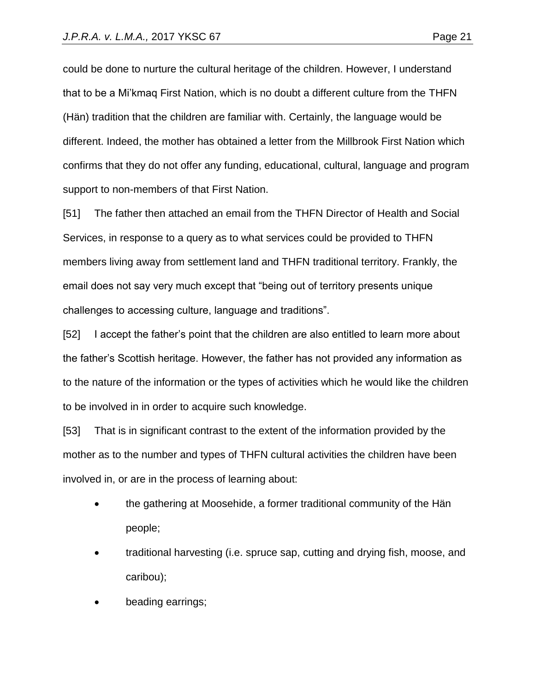could be done to nurture the cultural heritage of the children. However, I understand that to be a Mi'kmaq First Nation, which is no doubt a different culture from the THFN (Hän) tradition that the children are familiar with. Certainly, the language would be different. Indeed, the mother has obtained a letter from the Millbrook First Nation which confirms that they do not offer any funding, educational, cultural, language and program support to non-members of that First Nation.

[51] The father then attached an email from the THFN Director of Health and Social Services, in response to a query as to what services could be provided to THFN members living away from settlement land and THFN traditional territory. Frankly, the email does not say very much except that "being out of territory presents unique challenges to accessing culture, language and traditions".

[52] I accept the father's point that the children are also entitled to learn more about the father's Scottish heritage. However, the father has not provided any information as to the nature of the information or the types of activities which he would like the children to be involved in in order to acquire such knowledge.

[53] That is in significant contrast to the extent of the information provided by the mother as to the number and types of THFN cultural activities the children have been involved in, or are in the process of learning about:

- the gathering at Moosehide, a former traditional community of the Hän people;
- traditional harvesting (i.e. spruce sap, cutting and drying fish, moose, and caribou);
- beading earrings;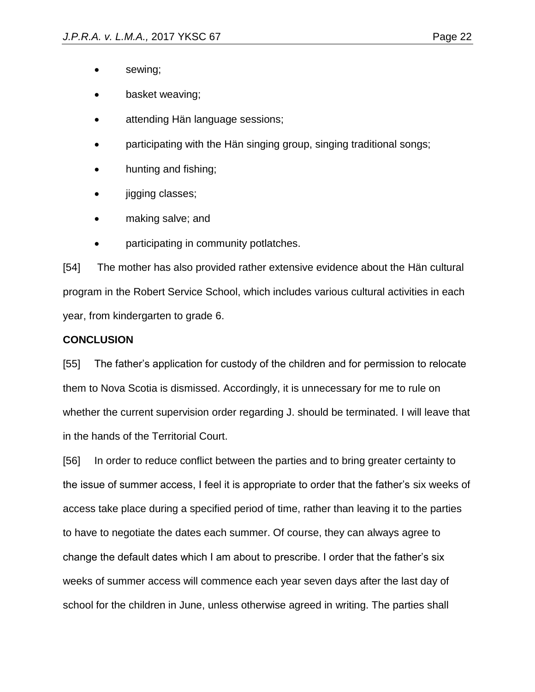- sewing;
- basket weaving;
- attending Hän language sessions;
- participating with the Hän singing group, singing traditional songs;
- hunting and fishing;
- jigging classes;
- making salve; and
- participating in community potlatches.

[54] The mother has also provided rather extensive evidence about the Hän cultural program in the Robert Service School, which includes various cultural activities in each year, from kindergarten to grade 6.

## **CONCLUSION**

[55] The father's application for custody of the children and for permission to relocate them to Nova Scotia is dismissed. Accordingly, it is unnecessary for me to rule on whether the current supervision order regarding J. should be terminated. I will leave that in the hands of the Territorial Court.

[56] In order to reduce conflict between the parties and to bring greater certainty to the issue of summer access, I feel it is appropriate to order that the father's six weeks of access take place during a specified period of time, rather than leaving it to the parties to have to negotiate the dates each summer. Of course, they can always agree to change the default dates which I am about to prescribe. I order that the father's six weeks of summer access will commence each year seven days after the last day of school for the children in June, unless otherwise agreed in writing. The parties shall